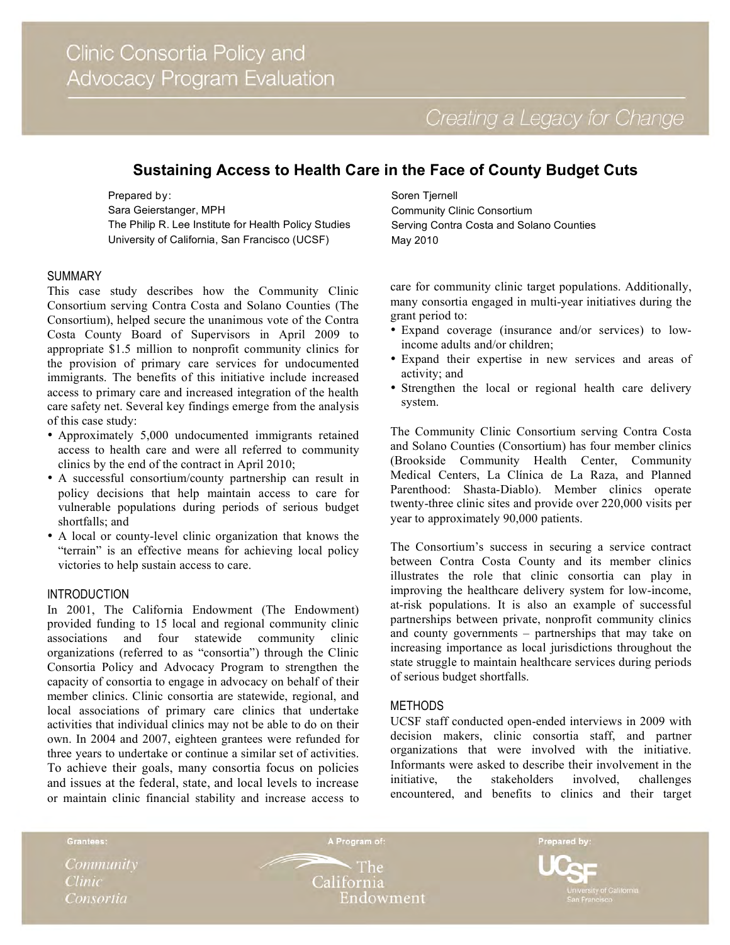# **Sustaining Access to Health Care in the Face of County Budget Cuts**

Prepared by: Sara Geierstanger, MPH The Philip R. Lee Institute for Health Policy Studies University of California, San Francisco (UCSF)

### SUMMARY

This case study describes how the Community Clinic Consortium serving Contra Costa and Solano Counties (The Consortium), helped secure the unanimous vote of the Contra Costa County Board of Supervisors in April 2009 to appropriate \$1.5 million to nonprofit community clinics for the provision of primary care services for undocumented immigrants. The benefits of this initiative include increased access to primary care and increased integration of the health care safety net. Several key findings emerge from the analysis of this case study:

- Approximately 5,000 undocumented immigrants retained access to health care and were all referred to community clinics by the end of the contract in April 2010;
- A successful consortium/county partnership can result in policy decisions that help maintain access to care for vulnerable populations during periods of serious budget shortfalls; and
- A local or county-level clinic organization that knows the "terrain" is an effective means for achieving local policy victories to help sustain access to care.

# INTRODUCTION

In 2001, The California Endowment (The Endowment) provided funding to 15 local and regional community clinic associations and four statewide community clinic organizations (referred to as "consortia") through the Clinic Consortia Policy and Advocacy Program to strengthen the capacity of consortia to engage in advocacy on behalf of their member clinics. Clinic consortia are statewide, regional, and local associations of primary care clinics that undertake activities that individual clinics may not be able to do on their own. In 2004 and 2007, eighteen grantees were refunded for three years to undertake or continue a similar set of activities. To achieve their goals, many consortia focus on policies and issues at the federal, state, and local levels to increase or maintain clinic financial stability and increase access to Soren Tjernell Community Clinic Consortium Serving Contra Costa and Solano Counties May 2010

care for community clinic target populations. Additionally, many consortia engaged in multi-year initiatives during the grant period to:

- Expand coverage (insurance and/or services) to lowincome adults and/or children;
- Expand their expertise in new services and areas of activity; and
- Strengthen the local or regional health care delivery system.

The Community Clinic Consortium serving Contra Costa and Solano Counties (Consortium) has four member clinics (Brookside Community Health Center, Community Medical Centers, La Clínica de La Raza, and Planned Parenthood: Shasta-Diablo). Member clinics operate twenty-three clinic sites and provide over 220,000 visits per year to approximately 90,000 patients.

The Consortium's success in securing a service contract between Contra Costa County and its member clinics illustrates the role that clinic consortia can play in improving the healthcare delivery system for low-income, at-risk populations. It is also an example of successful partnerships between private, nonprofit community clinics and county governments – partnerships that may take on increasing importance as local jurisdictions throughout the state struggle to maintain healthcare services during periods of serious budget shortfalls.

### **METHODS**

UCSF staff conducted open-ended interviews in 2009 with decision makers, clinic consortia staff, and partner organizations that were involved with the initiative. Informants were asked to describe their involvement in the initiative, the stakeholders involved, challenges encountered, and benefits to clinics and their target

Grantees:

Community **Clinic** Consortia

The -California Endowment

A Program of:

Prepared by: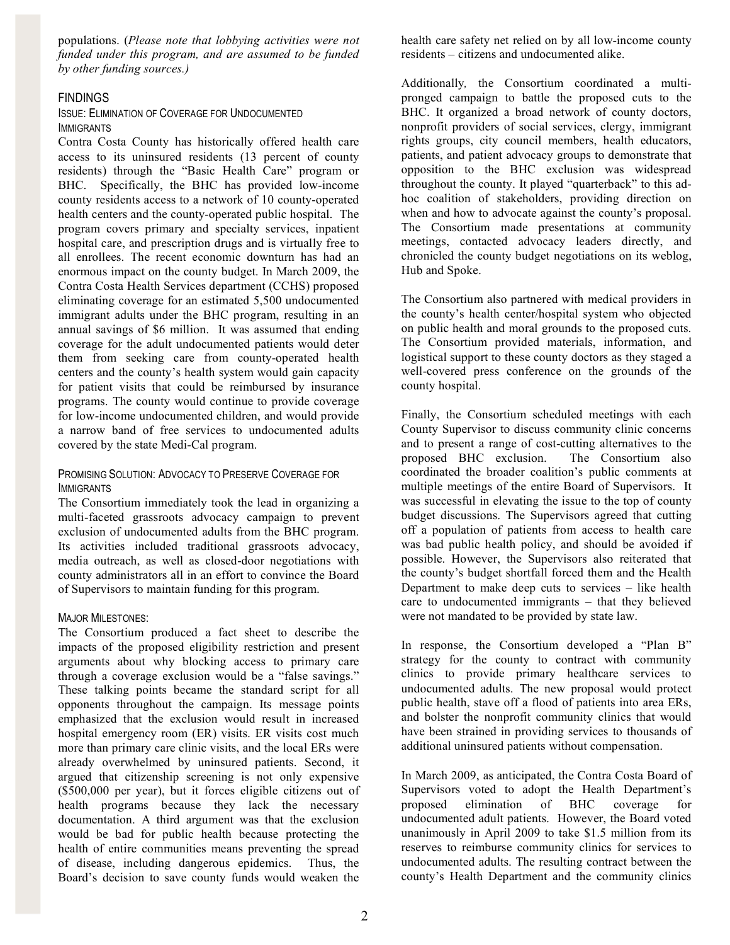populations. (*Please note that lobbying activities were not funded under this program, and are assumed to be funded by other funding sources.)*

# FINDINGS

## ISSUE: ELIMINATION OF COVERAGE FOR UNDOCUMENTED IMMIGRANTS

Contra Costa County has historically offered health care access to its uninsured residents (13 percent of county residents) through the "Basic Health Care" program or BHC. Specifically, the BHC has provided low-income county residents access to a network of 10 county-operated health centers and the county-operated public hospital. The program covers primary and specialty services, inpatient hospital care, and prescription drugs and is virtually free to all enrollees. The recent economic downturn has had an enormous impact on the county budget. In March 2009, the Contra Costa Health Services department (CCHS) proposed eliminating coverage for an estimated 5,500 undocumented immigrant adults under the BHC program, resulting in an annual savings of \$6 million. It was assumed that ending coverage for the adult undocumented patients would deter them from seeking care from county-operated health centers and the county's health system would gain capacity for patient visits that could be reimbursed by insurance programs. The county would continue to provide coverage for low-income undocumented children, and would provide a narrow band of free services to undocumented adults covered by the state Medi-Cal program.

### PROMISING SOLUTION: ADVOCACY TO PRESERVE COVERAGE FOR IMMIGRANTS

The Consortium immediately took the lead in organizing a multi-faceted grassroots advocacy campaign to prevent exclusion of undocumented adults from the BHC program. Its activities included traditional grassroots advocacy, media outreach, as well as closed-door negotiations with county administrators all in an effort to convince the Board of Supervisors to maintain funding for this program.

### MAJOR MILESTONES:

The Consortium produced a fact sheet to describe the impacts of the proposed eligibility restriction and present arguments about why blocking access to primary care through a coverage exclusion would be a "false savings." These talking points became the standard script for all opponents throughout the campaign. Its message points emphasized that the exclusion would result in increased hospital emergency room (ER) visits. ER visits cost much more than primary care clinic visits, and the local ERs were already overwhelmed by uninsured patients. Second, it argued that citizenship screening is not only expensive (\$500,000 per year), but it forces eligible citizens out of health programs because they lack the necessary documentation. A third argument was that the exclusion would be bad for public health because protecting the health of entire communities means preventing the spread of disease, including dangerous epidemics. Thus, the Board's decision to save county funds would weaken the health care safety net relied on by all low-income county residents – citizens and undocumented alike.

Additionally*,* the Consortium coordinated a multipronged campaign to battle the proposed cuts to the BHC. It organized a broad network of county doctors, nonprofit providers of social services, clergy, immigrant rights groups, city council members, health educators, patients, and patient advocacy groups to demonstrate that opposition to the BHC exclusion was widespread throughout the county. It played "quarterback" to this adhoc coalition of stakeholders, providing direction on when and how to advocate against the county's proposal. The Consortium made presentations at community meetings, contacted advocacy leaders directly, and chronicled the county budget negotiations on its weblog, Hub and Spoke.

The Consortium also partnered with medical providers in the county's health center/hospital system who objected on public health and moral grounds to the proposed cuts. The Consortium provided materials, information, and logistical support to these county doctors as they staged a well-covered press conference on the grounds of the county hospital.

Finally, the Consortium scheduled meetings with each County Supervisor to discuss community clinic concerns and to present a range of cost-cutting alternatives to the proposed BHC exclusion. The Consortium also coordinated the broader coalition's public comments at multiple meetings of the entire Board of Supervisors. It was successful in elevating the issue to the top of county budget discussions. The Supervisors agreed that cutting off a population of patients from access to health care was bad public health policy, and should be avoided if possible. However, the Supervisors also reiterated that the county's budget shortfall forced them and the Health Department to make deep cuts to services – like health care to undocumented immigrants – that they believed were not mandated to be provided by state law.

In response, the Consortium developed a "Plan B" strategy for the county to contract with community clinics to provide primary healthcare services to undocumented adults. The new proposal would protect public health, stave off a flood of patients into area ERs, and bolster the nonprofit community clinics that would have been strained in providing services to thousands of additional uninsured patients without compensation.

In March 2009, as anticipated, the Contra Costa Board of Supervisors voted to adopt the Health Department's proposed elimination of BHC coverage for undocumented adult patients. However, the Board voted unanimously in April 2009 to take \$1.5 million from its reserves to reimburse community clinics for services to undocumented adults. The resulting contract between the county's Health Department and the community clinics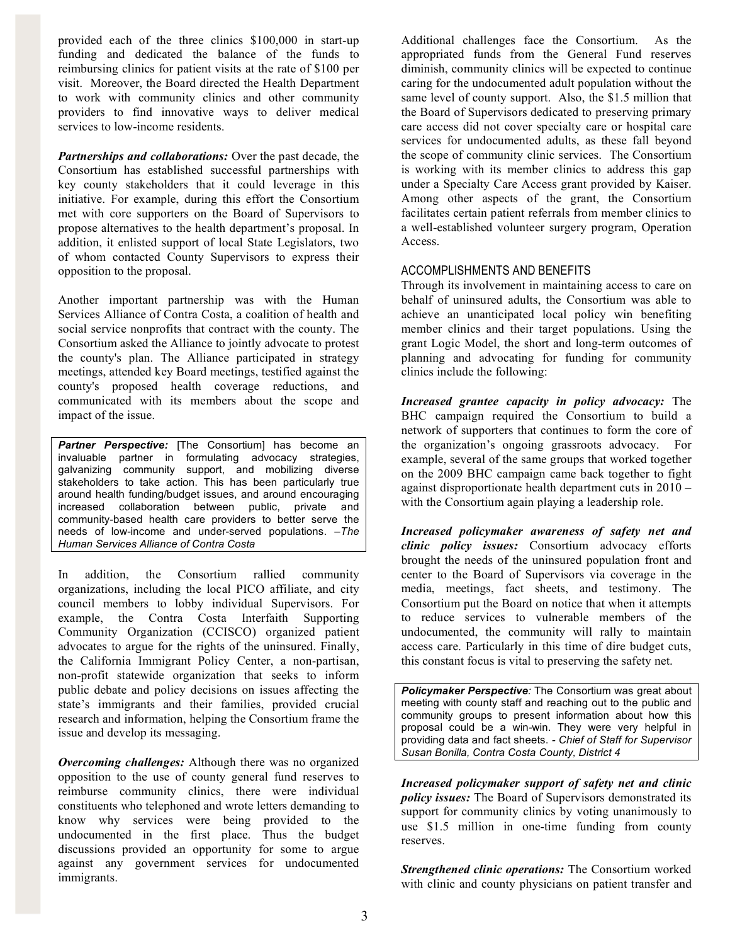provided each of the three clinics \$100,000 in start-up funding and dedicated the balance of the funds to reimbursing clinics for patient visits at the rate of \$100 per visit. Moreover, the Board directed the Health Department to work with community clinics and other community providers to find innovative ways to deliver medical services to low-income residents.

*Partnerships and collaborations:* Over the past decade, the Consortium has established successful partnerships with key county stakeholders that it could leverage in this initiative. For example, during this effort the Consortium met with core supporters on the Board of Supervisors to propose alternatives to the health department's proposal. In addition, it enlisted support of local State Legislators, two of whom contacted County Supervisors to express their opposition to the proposal.

Another important partnership was with the Human Services Alliance of Contra Costa, a coalition of health and social service nonprofits that contract with the county. The Consortium asked the Alliance to jointly advocate to protest the county's plan. The Alliance participated in strategy meetings, attended key Board meetings, testified against the county's proposed health coverage reductions, and communicated with its members about the scope and impact of the issue.

**Partner Perspective:** [The Consortium] has become an invaluable partner in formulating advocacy strategies, galvanizing community support, and mobilizing diverse stakeholders to take action. This has been particularly true around health funding/budget issues, and around encouraging increased collaboration between public, private and community-based health care providers to better serve the needs of low-income and under-served populations. –*The Human Services Alliance of Contra Costa*

In addition, the Consortium rallied community organizations, including the local PICO affiliate, and city council members to lobby individual Supervisors. For example, the Contra Costa Interfaith Supporting Community Organization (CCISCO) organized patient advocates to argue for the rights of the uninsured. Finally, the California Immigrant Policy Center, a non-partisan, non-profit statewide organization that seeks to inform public debate and policy decisions on issues affecting the state's immigrants and their families, provided crucial research and information, helping the Consortium frame the issue and develop its messaging.

*Overcoming challenges:* Although there was no organized opposition to the use of county general fund reserves to reimburse community clinics, there were individual constituents who telephoned and wrote letters demanding to know why services were being provided to the undocumented in the first place. Thus the budget discussions provided an opportunity for some to argue against any government services for undocumented immigrants.

Additional challenges face the Consortium. As the appropriated funds from the General Fund reserves diminish, community clinics will be expected to continue caring for the undocumented adult population without the same level of county support. Also, the \$1.5 million that the Board of Supervisors dedicated to preserving primary care access did not cover specialty care or hospital care services for undocumented adults, as these fall beyond the scope of community clinic services. The Consortium is working with its member clinics to address this gap under a Specialty Care Access grant provided by Kaiser. Among other aspects of the grant, the Consortium facilitates certain patient referrals from member clinics to a well-established volunteer surgery program, Operation Access.

# ACCOMPLISHMENTS AND BENEFITS

Through its involvement in maintaining access to care on behalf of uninsured adults, the Consortium was able to achieve an unanticipated local policy win benefiting member clinics and their target populations. Using the grant Logic Model, the short and long-term outcomes of planning and advocating for funding for community clinics include the following:

*Increased grantee capacity in policy advocacy:* The BHC campaign required the Consortium to build a network of supporters that continues to form the core of the organization's ongoing grassroots advocacy. For example, several of the same groups that worked together on the 2009 BHC campaign came back together to fight against disproportionate health department cuts in 2010 – with the Consortium again playing a leadership role.

*Increased policymaker awareness of safety net and clinic policy issues:* Consortium advocacy efforts brought the needs of the uninsured population front and center to the Board of Supervisors via coverage in the media, meetings, fact sheets, and testimony. The Consortium put the Board on notice that when it attempts to reduce services to vulnerable members of the undocumented, the community will rally to maintain access care. Particularly in this time of dire budget cuts, this constant focus is vital to preserving the safety net.

*Policymaker Perspective:* The Consortium was great about meeting with county staff and reaching out to the public and community groups to present information about how this proposal could be a win-win. They were very helpful in providing data and fact sheets. *- Chief of Staff for Supervisor Susan Bonilla, Contra Costa County, District 4*

*Increased policymaker support of safety net and clinic policy issues:* The Board of Supervisors demonstrated its support for community clinics by voting unanimously to use \$1.5 million in one-time funding from county reserves.

*Strengthened clinic operations:* The Consortium worked with clinic and county physicians on patient transfer and